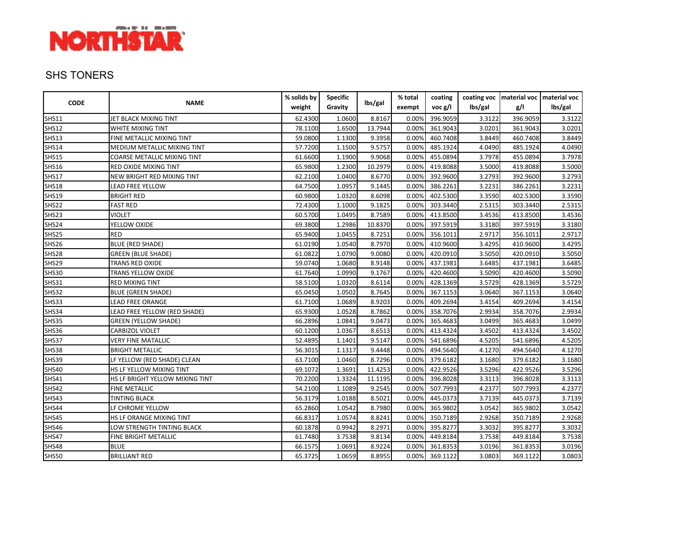

#### SHS TONERS

| <b>CODE</b>  | <b>NAME</b>                     | % solids by | <b>Specific</b> | lbs/gal | % total | coating  |         |          | coating voc   material voc   material voc |
|--------------|---------------------------------|-------------|-----------------|---------|---------|----------|---------|----------|-------------------------------------------|
|              |                                 | weight      | Gravity         |         | exempt  | voc g/l  | lbs/gal | g/l      | lbs/gal                                   |
| <b>SHS11</b> | JET BLACK MIXING TINT           | 62.4300     | 1.0600          | 8.8167  | 0.00%   | 396.9059 | 3.3122  | 396.9059 | 3.3122                                    |
| <b>SHS12</b> | WHITE MIXING TINT               | 78.1100     | 1.6500          | 13.7944 | 0.00%   | 361.9043 | 3.0201  | 361.9043 | 3.0201                                    |
| <b>SHS13</b> | FINE METALLIC MIXING TINT       | 59.0800     | 1.1300          | 9.3958  | 0.00%   | 460.7408 | 3.8449  | 460.7408 | 3.8449                                    |
| <b>SHS14</b> | MEDIUM METALLIC MIXING TINT     | 57.7200     | 1.1500          | 9.5757  | 0.00%   | 485.1924 | 4.0490  | 485.1924 | 4.0490                                    |
| <b>SHS15</b> | COARSE METALLIC MIXING TINT     | 61.6600     | 1.1900          | 9.9068  | 0.00%   | 455.0894 | 3.7978  | 455.0894 | 3.7978                                    |
| <b>SHS16</b> | RED OXIDE MIXING TINT           | 65.9800     | 1.2300          | 10.2979 | 0.00%   | 419.8088 | 3.5000  | 419.8088 | 3.5000                                    |
| <b>SHS17</b> | NEW BRIGHT RED MIXING TINT      | 62.2100     | 1.0400          | 8.6770  | 0.00%   | 392.9600 | 3.2793  | 392.9600 | 3.2793                                    |
| <b>SHS18</b> | LEAD FREE YELLOW                | 64.7500     | 1.0957          | 9.1445  | 0.00%   | 386.2261 | 3.2231  | 386.2261 | 3.2231                                    |
| <b>SHS19</b> | <b>BRIGHT RED</b>               | 60.9800     | 1.0320          | 8.6098  | 0.00%   | 402.5300 | 3.3590  | 402.5300 | 3.3590                                    |
| SHS22        | <b>FAST RED</b>                 | 72.4300     | 1.1000          | 9.1825  | 0.00%   | 303.3440 | 2.5315  | 303.3440 | 2.5315                                    |
| SHS23        | VIOLET                          | 60.5700     | 1.0495          | 8.7589  | 0.00%   | 413.8500 | 3.4536  | 413.8500 | 3.4536                                    |
| <b>SHS24</b> | YELLOW OXIDE                    | 69.3800     | 1.2986          | 10.8370 | 0.00%   | 397.5919 | 3.3180  | 397.5919 | 3.3180                                    |
| SHS25        | <b>RED</b>                      | 65.9400     | 1.0455          | 8.7251  | 0.00%   | 356.1011 | 2.9717  | 356.1011 | 2.9717                                    |
| SHS26        | <b>BLUE (RED SHADE)</b>         | 61.0190     | 1.0540          | 8.7970  | 0.00%   | 410.9600 | 3.4295  | 410.9600 | 3.4295                                    |
| SHS28        | <b>GREEN (BLUE SHADE)</b>       | 61.0822     | 1.0790          | 9.0080  | 0.00%   | 420.0910 | 3.5050  | 420.0910 | 3.5050                                    |
| SHS29        | TRANS RED OXIDE                 | 59.0740     | 1.0680          | 8.9148  | 0.00%   | 437.1981 | 3.6485  | 437.1981 | 3.6485                                    |
| <b>SHS30</b> | TRANS YELLOW OXIDE              | 61.7640     | 1.0990          | 9.1767  | 0.00%   | 420.4600 | 3.5090  | 420.4600 | 3.5090                                    |
| <b>SHS31</b> | RED MIXING TINT                 | 58.5100     | 1.0320          | 8.6114  | 0.00%   | 428.1369 | 3.5729  | 428.1369 | 3.5729                                    |
| <b>SHS32</b> | <b>BLUE (GREEN SHADE)</b>       | 65.0450     | 1.0502          | 8.7645  | 0.00%   | 367.1153 | 3.0640  | 367.1153 | 3.0640                                    |
| SHS33        | LEAD FREE ORANGE                | 61.7100     | 1.0689          | 8.9203  | 0.00%   | 409.2694 | 3.4154  | 409.2694 | 3.4154                                    |
| <b>SHS34</b> | LEAD FREE YELLOW (RED SHADE)    | 65.9300     | 1.0528          | 8.7862  | 0.00%   | 358.7076 | 2.9934  | 358.7076 | 2.9934                                    |
| <b>SHS35</b> | <b>GREEN (YELLOW SHADE)</b>     | 66.2896     | 1.0841          | 9.0473  | 0.00%   | 365.4683 | 3.0499  | 365.4683 | 3.0499                                    |
| <b>SHS36</b> | <b>CARBIZOL VIOLET</b>          | 60.1200     | 1.0367          | 8.6513  | 0.00%   | 413.4324 | 3.4502  | 413.4324 | 3.4502                                    |
| <b>SHS37</b> | <b>VERY FINE MATALLIC</b>       | 52.4895     | 1.1401          | 9.5147  | 0.00%   | 541.6896 | 4.5205  | 541.6896 | 4.5205                                    |
| <b>SHS38</b> | <b>BRIGHT METALLIC</b>          | 56.3015     | 1.1317          | 9.4448  | 0.00%   | 494.5640 | 4.1270  | 494.5640 | 4.1270                                    |
| SHS39        | LF YELLOW (RED SHADE) CLEAN     | 63.7100     | 1.0460          | 8.7296  | 0.00%   | 379.6182 | 3.1680  | 379.6182 | 3.1680                                    |
| <b>SHS40</b> | HS LF YELLOW MIXING TINT        | 69.1072     | 1.3691          | 11.4253 | 0.00%   | 422.9526 | 3.5296  | 422.9526 | 3.5296                                    |
| <b>SHS41</b> | HS LF BRIGHT YELLOW MIXING TINT | 70.2200     | 1.3324          | 11.1195 | 0.00%   | 396.8028 | 3.3113  | 396.8028 | 3.3113                                    |
| <b>SHS42</b> | FINE METALLIC                   | 54.2100     | 1.1089          | 9.2545  | 0.00%   | 507.7993 | 4.2377  | 507.7993 | 4.2377                                    |
| <b>SHS43</b> | TINTING BLACK                   | 56.3179     | 1.0188          | 8.5021  | 0.00%   | 445.0373 | 3.7139  | 445.0373 | 3.7139                                    |
| <b>SHS44</b> | LF CHROME YELLOW                | 65.2860     | 1.0542          | 8.7980  | 0.00%   | 365.9802 | 3.0542  | 365.9802 | 3.0542                                    |
| <b>SHS45</b> | HS LF ORANGE MIXING TINT        | 66.8317     | 1.0574          | 8.8241  | 0.00%   | 350.7189 | 2.9268  | 350.7189 | 2.9268                                    |
| <b>SHS46</b> | LOW STRENGTH TINTING BLACK      | 60.1878     | 0.9942          | 8.2971  | 0.00%   | 395.8277 | 3.3032  | 395.8277 | 3.3032                                    |
| <b>SHS47</b> | FINE BRIGHT METALLIC            | 61.7480     | 3.7538          | 9.8134  | 0.00%   | 449.8184 | 3.7538  | 449.8184 | 3.7538                                    |
| <b>SHS48</b> | <b>BLUE</b>                     | 66.1575     | 1.0691          | 8.9224  | 0.00%   | 361.8353 | 3.0196  | 361.8353 | 3.0196                                    |
| SHS50        | <b>BRILLIANT RED</b>            | 65.3725     | 1.0659          | 8.8955  | 0.00%   | 369.1122 | 3.0803  | 369.1122 | 3.0803                                    |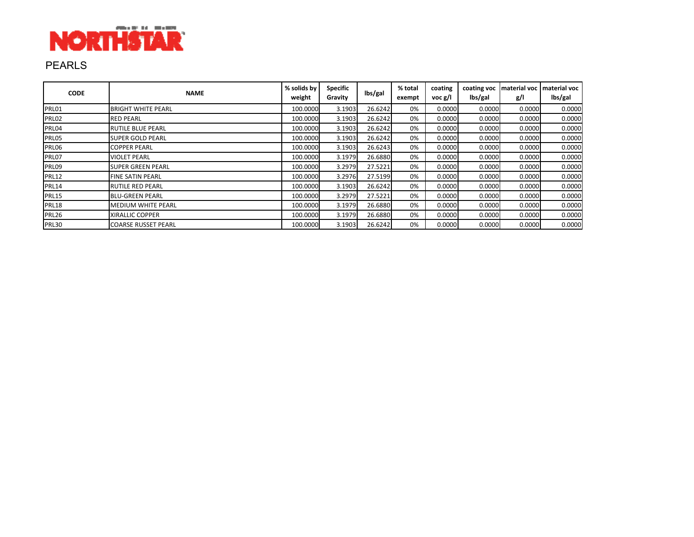

# PEARLS

| <b>CODE</b>  | <b>NAME</b>                | % solids by<br>weight | <b>Specific</b><br>Gravity | lbs/gal | % total<br>exempt | coating<br>voc g/l | coating voc<br>lbs/gal | g/l    | material voc   material voc<br>lbs/gal |
|--------------|----------------------------|-----------------------|----------------------------|---------|-------------------|--------------------|------------------------|--------|----------------------------------------|
| PRL01        | <b>BRIGHT WHITE PEARL</b>  | 100.0000              | 3.1903                     | 26.6242 | 0%                | 0.0000             | 0.0000                 | 0.0000 | 0.0000                                 |
| PRL02        | <b>RED PEARL</b>           | 100.0000              | 3.1903                     | 26.6242 | 0%                | 0.0000             | 0.0000                 | 0.0000 | 0.0000                                 |
| PRL04        | <b>RUTILE BLUE PEARL</b>   | 100.0000              | 3.1903                     | 26.6242 | 0%                | 0.0000             | 0.0000                 | 0.0000 | 0.0000                                 |
| PRL05        | <b>SUPER GOLD PEARL</b>    | 100.0000              | 3.1903                     | 26.6242 | 0%                | 0.0000             | 0.0000                 | 0.0000 | 0.0000                                 |
| PRL06        | <b>COPPER PEARL</b>        | 100.0000              | 3.1903                     | 26.6243 | 0%                | 0.0000             | 0.0000                 | 0.0000 | 0.0000                                 |
| PRL07        | <b>VIOLET PEARL</b>        | 100.0000              | 3.1979                     | 26.6880 | 0%                | 0.0000             | 0.0000                 | 0.0000 | 0.0000                                 |
| PRL09        | <b>SUPER GREEN PEARL</b>   | 100.0000              | 3.2979                     | 27.5221 | 0%                | 0.0000             | 0.0000                 | 0.0000 | 0.0000                                 |
| <b>PRL12</b> | <b>FINE SATIN PEARL</b>    | 100.0000              | 3.2976                     | 27.5199 | 0%                | 0.0000             | 0.0000                 | 0.0000 | 0.0000                                 |
| <b>PRL14</b> | <b>RUTILE RED PEARL</b>    | 100.0000              | 3.1903                     | 26.6242 | 0%                | 0.0000             | 0.0000                 | 0.0000 | 0.0000                                 |
| <b>PRL15</b> | <b>BLU-GREEN PEARL</b>     | 100.0000              | 3.2979                     | 27.5221 | 0%                | 0.0000             | 0.0000                 | 0.0000 | 0.0000                                 |
| <b>PRL18</b> | <b>MEDIUM WHITE PEARL</b>  | 100.0000              | 3.1979                     | 26.6880 | 0%                | 0.0000             | 0.0000                 | 0.0000 | 0.0000                                 |
| PRL26        | <b>XIRALLIC COPPER</b>     | 100.0000              | 3.1979                     | 26.6880 | 0%                | 0.0000             | 0.0000                 | 0.0000 | 0.0000                                 |
| <b>PRL30</b> | <b>COARSE RUSSET PEARL</b> | 100.0000              | 3.1903                     | 26.6242 | 0%                | 0.0000             | 0.0000                 | 0.0000 | 0.0000                                 |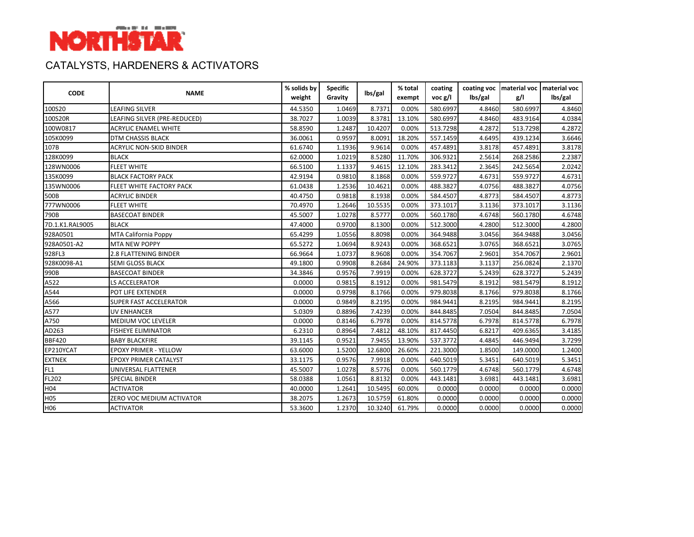

# CATALYSTS, HARDENERS & ACTIVATORS

| <b>CODE</b>     | <b>NAME</b>                    | % solids by | <b>Specific</b> | lbs/gal | % total | coating                    |         | coating voc   material voc   material voc |         |
|-----------------|--------------------------------|-------------|-----------------|---------|---------|----------------------------|---------|-------------------------------------------|---------|
|                 |                                | weight      | Gravity         |         | exempt  | $\mathsf{voc}\mathsf{g/l}$ | lbs/gal | g/l                                       | lbs/gal |
| 100S20          | <b>LEAFING SILVER</b>          | 44.5350     | 1.0469          | 8.7371  | 0.00%   | 580.6997                   | 4.8460  | 580.6997                                  | 4.8460  |
| 100S20R         | LEAFING SILVER (PRE-REDUCED)   | 38.7027     | 1.0039          | 8.3781  | 13.10%  | 580.6997                   | 4.8460  | 483.9164                                  | 4.0384  |
| 100W0817        | <b>ACRYLIC ENAMEL WHITE</b>    | 58.8590     | 1.2487          | 10.4207 | 0.00%   | 513.7298                   | 4.2872  | 513.7298                                  | 4.2872  |
| 105K0099        | <b>DTM CHASSIS BLACK</b>       | 36.0061     | 0.9597          | 8.0091  | 18.20%  | 557.1459                   | 4.6495  | 439.1234                                  | 3.6646  |
| 107B            | <b>ACRYLIC NON-SKID BINDER</b> | 61.6740     | 1.1936          | 9.9614  | 0.00%   | 457.4891                   | 3.8178  | 457.4891                                  | 3.8178  |
| 128K0099        | <b>BLACK</b>                   | 62.0000     | 1.0219          | 8.5280  | 11.70%  | 306.9321                   | 2.5614  | 268.2586                                  | 2.2387  |
| 128WN0006       | <b>FLEET WHITE</b>             | 66.5100     | 1.1337          | 9.4615  | 12.10%  | 283.3412                   | 2.3645  | 242.5654                                  | 2.0242  |
| 135K0099        | <b>BLACK FACTORY PACK</b>      | 42.9194     | 0.9810          | 8.1868  | 0.00%   | 559.9727                   | 4.6731  | 559.9727                                  | 4.6731  |
| 135WN0006       | FLEET WHITE FACTORY PACK       | 61.0438     | 1.2536          | 10.4621 | 0.00%   | 488.3827                   | 4.0756  | 488.3827                                  | 4.0756  |
| 500B            | <b>ACRYLIC BINDER</b>          | 40.4750     | 0.9818          | 8.1938  | 0.00%   | 584.4507                   | 4.8773  | 584.4507                                  | 4.8773  |
| 777WN0006       | <b>FLEET WHITE</b>             | 70.4970     | 1.2646          | 10.5535 | 0.00%   | 373.1017                   | 3.1136  | 373.1017                                  | 3.1136  |
| 790B            | <b>BASECOAT BINDER</b>         | 45.5007     | 1.0278          | 8.5777  | 0.00%   | 560.1780                   | 4.6748  | 560.1780                                  | 4.6748  |
| 7D.1.K1.RAL9005 | <b>BLACK</b>                   | 47.4000     | 0.9700          | 8.1300  | 0.00%   | 512.3000                   | 4.2800  | 512.3000                                  | 4.2800  |
| 928A0501        | MTA California Poppy           | 65.4299     | 1.0556          | 8.8098  | 0.00%   | 364.9488                   | 3.0456  | 364.9488                                  | 3.0456  |
| 928A0501-A2     | <b>MTA NEW POPPY</b>           | 65.5272     | 1.0694          | 8.9243  | 0.00%   | 368.6521                   | 3.0765  | 368.6521                                  | 3.0765  |
| 928FL3          | 2.8 FLATTENING BINDER          | 66.9664     | 1.0737          | 8.9608  | 0.00%   | 354.7067                   | 2.9601  | 354.7067                                  | 2.9601  |
| 928K0098-A1     | <b>SEMI GLOSS BLACK</b>        | 49.1800     | 0.9908          | 8.2684  | 24.90%  | 373.1183                   | 3.1137  | 256.0824                                  | 2.1370  |
| 990B            | <b>BASECOAT BINDER</b>         | 34.3846     | 0.9576          | 7.9919  | 0.00%   | 628.3727                   | 5.2439  | 628.3727                                  | 5.2439  |
| A522            | LS ACCELERATOR                 | 0.0000      | 0.9815          | 8.1912  | 0.00%   | 981.5479                   | 8.1912  | 981.5479                                  | 8.1912  |
| A544            | POT LIFE EXTENDER              | 0.0000      | 0.9798          | 8.1766  | 0.00%   | 979.8038                   | 8.1766  | 979.8038                                  | 8.1766  |
| A566            | <b>SUPER FAST ACCELERATOR</b>  | 0.0000      | 0.9849          | 8.2195  | 0.00%   | 984.9441                   | 8.2195  | 984.9441                                  | 8.2195  |
| A577            | <b>UV ENHANCER</b>             | 5.0309      | 0.8896          | 7.4239  | 0.00%   | 844.8485                   | 7.0504  | 844.8485                                  | 7.0504  |
| A750            | MEDIUM VOC LEVELER             | 0.0000      | 0.8146          | 6.7978  | 0.00%   | 814.5778                   | 6.7978  | 814.5778                                  | 6.7978  |
| AD263           | <b>FISHEYE ELIMINATOR</b>      | 6.2310      | 0.8964          | 7.4812  | 48.10%  | 817.4450                   | 6.8217  | 409.6365                                  | 3.4185  |
| <b>BBF420</b>   | <b>BABY BLACKFIRE</b>          | 39.1145     | 0.9521          | 7.9455  | 13.90%  | 537.3772                   | 4.4845  | 446.9494                                  | 3.7299  |
| EP210YCAT       | EPOXY PRIMER - YELLOW          | 63.6000     | 1.5200          | 12.6800 | 26.60%  | 221.3000                   | 1.8500  | 149.0000                                  | 1.2400  |
| <b>EXTNEK</b>   | <b>EPOXY PRIMER CATALYST</b>   | 33.1175     | 0.9576          | 7.9918  | 0.00%   | 640.5019                   | 5.3451  | 640.5019                                  | 5.3451  |
| FL1             | UNIVERSAL FLATTENER            | 45.5007     | 1.0278          | 8.5776  | 0.00%   | 560.1779                   | 4.6748  | 560.1779                                  | 4.6748  |
| FL202           | <b>SPECIAL BINDER</b>          | 58.0388     | 1.0561          | 8.8132  | 0.00%   | 443.1481                   | 3.6981  | 443.1481                                  | 3.6981  |
| H04             | <b>ACTIVATOR</b>               | 40.0000     | 1.2641          | 10.5495 | 60.00%  | 0.0000                     | 0.0000  | 0.0000                                    | 0.0000  |
| H <sub>05</sub> | ZERO VOC MEDIUM ACTIVATOR      | 38.2075     | 1.2673          | 10.5759 | 61.80%  | 0.0000                     | 0.0000  | 0.0000                                    | 0.0000  |
| H06             | <b>ACTIVATOR</b>               | 53.3600     | 1.2370          | 10.3240 | 61.79%  | 0.0000                     | 0.0000  | 0.0000                                    | 0.0000  |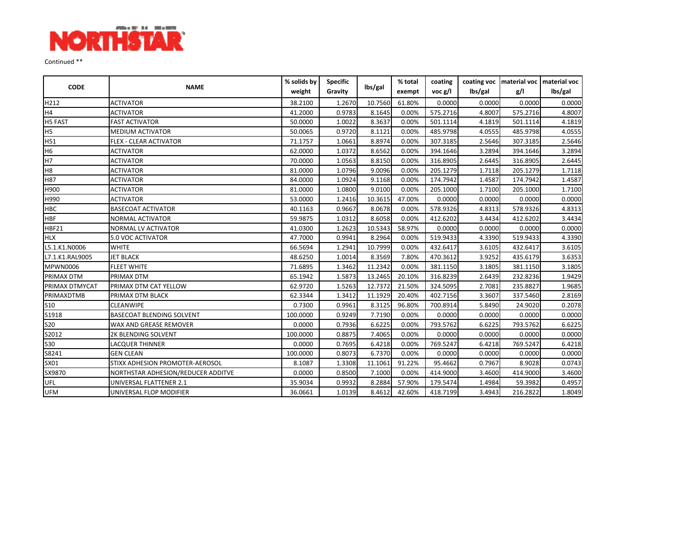

Continued \*\*

| <b>CODE</b>     | <b>NAME</b>                        | % solids by | <b>Specific</b> | lbs/gal | % total | coating                    |         |          | coating voc   material voc   material voc |
|-----------------|------------------------------------|-------------|-----------------|---------|---------|----------------------------|---------|----------|-------------------------------------------|
|                 |                                    | weight      | Gravity         |         | exempt  | $\mathsf{voc}\mathsf{g/l}$ | lbs/gal | g/l      | lbs/gal                                   |
| H212            | <b>ACTIVATOR</b>                   | 38.2100     | 1.2670          | 10.7560 | 61.80%  | 0.0000                     | 0.0000  | 0.0000   | 0.0000                                    |
| H <sub>4</sub>  | <b>ACTIVATOR</b>                   | 41.2000     | 0.9783          | 8.1645  | 0.00%   | 575.2716                   | 4.8007  | 575.2716 | 4.8007                                    |
| H5 FAST         | <b>FAST ACTIVATOR</b>              | 50.0000     | 1.0022          | 8.3637  | 0.00%   | 501.1114                   | 4.1819  | 501.1114 | 4.1819                                    |
| H <sub>5</sub>  | MEDIUM ACTIVATOR                   | 50.0065     | 0.9720          | 8.1121  | 0.00%   | 485.9798                   | 4.0555  | 485.9798 | 4.0555                                    |
| H51             | <b>FLEX - CLEAR ACTIVATOR</b>      | 71.1757     | 1.0661          | 8.8974  | 0.00%   | 307.3185                   | 2.5646  | 307.3185 | 2.5646                                    |
| H <sub>6</sub>  | <b>ACTIVATOR</b>                   | 62.0000     | 1.0372          | 8.6562  | 0.00%   | 394.1646                   | 3.2894  | 394.1646 | 3.2894                                    |
| H7              | <b>ACTIVATOR</b>                   | 70.0000     | 1.0563          | 8.8150  | 0.00%   | 316.8905                   | 2.6445  | 316.8905 | 2.6445                                    |
| H <sub>8</sub>  | <b>ACTIVATOR</b>                   | 81.0000     | 1.0796          | 9.0096  | 0.00%   | 205.1279                   | 1.7118  | 205.1279 | 1.7118                                    |
| H87             | <b>ACTIVATOR</b>                   | 84.0000     | 1.0924          | 9.1168  | 0.00%   | 174.7942                   | 1.4587  | 174.7942 | 1.4587                                    |
| H900            | <b>ACTIVATOR</b>                   | 81.0000     | 1.0800          | 9.0100  | 0.00%   | 205.1000                   | 1.7100  | 205.1000 | 1.7100                                    |
| H990            | <b>ACTIVATOR</b>                   | 53.0000     | 1.2416          | 10.3615 | 47.00%  | 0.0000                     | 0.0000  | 0.0000   | 0.0000                                    |
| <b>HBC</b>      | <b>BASECOAT ACTIVATOR</b>          | 40.1163     | 0.9667          | 8.0678  | 0.00%   | 578.9326                   | 4.8313  | 578.9326 | 4.8313                                    |
| <b>HBF</b>      | NORMAL ACTIVATOR                   | 59.9875     | 1.0312          | 8.6058  | 0.00%   | 412.6202                   | 3.4434  | 412.6202 | 3.4434                                    |
| <b>HBF21</b>    | NORMAL LV ACTIVATOR                | 41.0300     | 1.2623          | 10.5343 | 58.97%  | 0.0000                     | 0.0000  | 0.0000   | 0.0000                                    |
| <b>HLX</b>      | 5.0 VOC ACTIVATOR                  | 47.7000     | 0.9941          | 8.2964  | 0.00%   | 519.9433                   | 4.3390  | 519.9433 | 4.3390                                    |
| L5.1.K1.N0006   | <b>WHITE</b>                       | 66.5694     | 1.2941          | 10.7999 | 0.00%   | 432.6417                   | 3.6105  | 432.6417 | 3.6105                                    |
| L7.1.K1.RAL9005 | <b>JET BLACK</b>                   | 48.6250     | 1.0014          | 8.3569  | 7.80%   | 470.3612                   | 3.9252  | 435.6179 | 3.6353                                    |
| <b>MPWN0006</b> | <b>FLEET WHITE</b>                 | 71.6895     | 1.3462          | 11.2342 | 0.00%   | 381.1150                   | 3.1805  | 381.1150 | 3.1805                                    |
| PRIMAX DTM      | PRIMAX DTM                         | 65.1942     | 1.5873          | 13.2465 | 20.10%  | 316.8239                   | 2.6439  | 232.8236 | 1.9429                                    |
| PRIMAX DTMYCAT  | PRIMAX DTM CAT YELLOW              | 62.9720     | 1.5263          | 12.7372 | 21.50%  | 324.5095                   | 2.7081  | 235.8827 | 1.9685                                    |
| PRIMAXDTMB      | PRIMAX DTM BLACK                   | 62.3344     | 1.3412          | 11.1929 | 20.40%  | 402.7156                   | 3.3607  | 337.5460 | 2.8169                                    |
| S10             | <b>CLEANWIPE</b>                   | 0.7300      | 0.9961          | 8.3125  | 96.80%  | 700.8914                   | 5.8490  | 24.9020  | 0.2078                                    |
| S1918           | <b>BASECOAT BLENDING SOLVENT</b>   | 100.0000    | 0.9249          | 7.7190  | 0.00%   | 0.0000                     | 0.0000  | 0.0000   | 0.0000                                    |
| <b>S20</b>      | WAX AND GREASE REMOVER             | 0.0000      | 0.7936          | 6.6225  | 0.00%   | 793.5762                   | 6.6225  | 793.5762 | 6.6225                                    |
| S2012           | 2K BLENDING SOLVENT                | 100.0000    | 0.8875          | 7.4065  | 0.00%   | 0.0000                     | 0.0000  | 0.0000   | 0.0000                                    |
| <b>S30</b>      | <b>LACQUER THINNER</b>             | 0.0000      | 0.7695          | 6.4218  | 0.00%   | 769.5247                   | 6.4218  | 769.5247 | 6.4218                                    |
| S8241           | <b>GEN CLEAN</b>                   | 100.0000    | 0.8073          | 6.7370  | 0.00%   | 0.0000                     | 0.0000  | 0.0000   | 0.0000                                    |
| SX01            | STIXX ADHESION PROMOTER-AEROSOL    | 8.1087      | 1.3308          | 11.1061 | 91.22%  | 95.4662                    | 0.7967  | 8.9028   | 0.0743                                    |
| SX9870          | NORTHSTAR ADHESION/REDUCER ADDITVE | 0.0000      | 0.8500          | 7.1000  | 0.00%   | 414.9000                   | 3.4600  | 414.9000 | 3.4600                                    |
| UFL             | UNIVERSAL FLATTENER 2.1            | 35.9034     | 0.9932          | 8.2884  | 57.90%  | 179.5474                   | 1.4984  | 59.3982  | 0.4957                                    |
| <b>UFM</b>      | UNIVERSAL FLOP MODIFIER            | 36.0661     | 1.0139          | 8.4612  | 42.60%  | 418.7199                   | 3.4943  | 216.2822 | 1.8049                                    |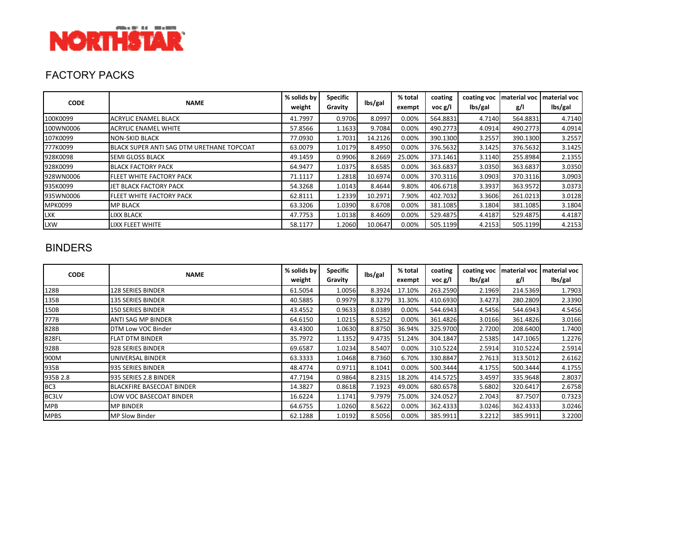

## FACTORY PACKS

| <b>CODE</b>    | <b>NAME</b>                               | % solids by<br>weight | <b>Specific</b><br>Gravity | lbs/gal | % total<br>exempt | coating<br>$\mathsf{voc}\mathsf{g/l}$ | coating voc<br>lbs/gal | <b>Imaterial voc</b><br>g/l | material voc<br>lbs/gal |
|----------------|-------------------------------------------|-----------------------|----------------------------|---------|-------------------|---------------------------------------|------------------------|-----------------------------|-------------------------|
| 100K0099       | <b>ACRYLIC ENAMEL BLACK</b>               | 41.7997               | 0.9706                     | 8.0997  | 0.00%             | 564.8831                              | 4.7140                 | 564.8831                    | 4.7140                  |
| 100WN0006      | <b>ACRYLIC ENAMEL WHITE</b>               | 57.8566               | 1.1633                     | 9.7084  | 0.00%             | 490.2773                              | 4.0914                 | 490.2773                    | 4.0914                  |
| 107K0099       | <b>NON-SKID BLACK</b>                     | 77.0930               | 1.7031                     | 14.2126 | 0.00%             | 390.1300                              | 3.2557                 | 390.1300                    | 3.2557                  |
| 777K0099       | BLACK SUPER ANTI SAG DTM URETHANE TOPCOAT | 63.0079               | 1.0179                     | 8.4950  | 0.00%             | 376.5632                              | 3.1425                 | 376.5632                    | 3.1425                  |
| 928K0098       | <b>SEMI GLOSS BLACK</b>                   | 49.1459               | 0.9906                     | 8.2669  | 25.00%            | 373.1461                              | 3.1140                 | 255.8984                    | 2.1355                  |
| 928K0099       | <b>BLACK FACTORY PACK</b>                 | 64.9477               | 1.0375                     | 8.6585  | 0.00%             | 363.6837                              | 3.0350                 | 363.6837                    | 3.0350                  |
| 928WN0006      | FLEET WHITE FACTORY PACK                  | 71.1117               | 1.2818                     | 10.6974 | 0.00%             | 370.3116                              | 3.0903                 | 370.3116                    | 3.0903                  |
| 935K0099       | JET BLACK FACTORY PACK                    | 54.3268               | 1.0143                     | 8.4644  | 9.80%             | 406.6718                              | 3.3937                 | 363.9572                    | 3.0373                  |
| 935WN0006      | FLEET WHITE FACTORY PACK                  | 62.8111               | 1.2339                     | 10.2971 | 7.90%             | 402.7032                              | 3.3606                 | 261.0213                    | 3.0128                  |
| <b>MPK0099</b> | <b>MP BLACK</b>                           | 63.3206               | 1.0390                     | 8.6708  | 0.00%             | 381.1085                              | 3.1804                 | 381.1085                    | 3.1804                  |
| <b>LXK</b>     | <b>LIXX BLACK</b>                         | 47.7753               | 1.0138                     | 8.4609  | 0.00%             | 529.4875                              | 4.4187                 | 529.4875                    | 4.4187                  |
| <b>LXW</b>     | LIXX FLEET WHITE                          | 58.1177               | 1.2060                     | 10.0647 | 0.00%             | 505.1199                              | 4.2153                 | 505.1199                    | 4.2153                  |

#### BINDERS

| <b>CODE</b>     | <b>NAME</b>                      | % solids by | <b>Specific</b> | lbs/gal | % total | coating                    | coating voc | material voc | material voc |
|-----------------|----------------------------------|-------------|-----------------|---------|---------|----------------------------|-------------|--------------|--------------|
|                 |                                  | weight      | Gravity         |         | exempt  | $\mathsf{voc}\mathsf{g/l}$ | lbs/gal     | g/l          | lbs/gal      |
| 128B            | <b>128 SERIES BINDER</b>         | 61.5054     | 1.0056          | 8.3924  | 17.10%  | 263.2590                   | 2.1969      | 214.5369     | 1.7903       |
| 135B            | <b>135 SERIES BINDER</b>         | 40.5885     | 0.9979          | 8.3279  | 31.30%  | 410.6930                   | 3.4273      | 280.2809     | 2.3390       |
| 150B            | <b>150 SERIES BINDER</b>         | 43.4552     | 0.9633          | 8.0389  | 0.00%   | 544.6943                   | 4.5456      | 544.6943     | 4.5456       |
| 777B            | <b>ANTI SAG MP BINDER</b>        | 64.6150     | 1.0215          | 8.5252  | 0.00%   | 361.4826                   | 3.0166      | 361.4826     | 3.0166       |
| 828B            | DTM Low VOC Binder               | 43.4300     | 1.0630          | 8.8750  | 36.94%  | 325.9700                   | 2.7200      | 208.6400     | 1.7400       |
| 828FL           | <b>FLAT DTM BINDER</b>           | 35.7972     | 1.1352          | 9.4735  | 51.24%  | 304.1847                   | 2.5385      | 147.1065     | 1.2276       |
| 928B            | 928 SERIES BINDER                | 69.6587     | 1.0234          | 8.5407  | 0.00%   | 310.5224                   | 2.5914      | 310.5224     | 2.5914       |
| 900M            | UNIVERSAL BINDER                 | 63.3333     | 1.0468          | 8.7360  | 6.70%   | 330.8847                   | 2.7613      | 313.5012     | 2.6162       |
| 935B            | 935 SERIES BINDER                | 48.4774     | 0.9711          | 8.1041  | 0.00%   | 500.3444                   | 4.1755      | 500.3444     | 4.1755       |
| 935B 2.8        | 935 SERIES 2.8 BINDER            | 47.7194     | 0.9864          | 8.2315  | 18.20%  | 414.5725                   | 3.4597      | 335.9648     | 2.8037       |
| BC <sub>3</sub> | <b>BLACKFIRE BASECOAT BINDER</b> | 14.3827     | 0.8618          | 7.1923  | 49.00%  | 680.6578                   | 5.6802      | 320.6417     | 2.6758       |
| BC3LV           | LOW VOC BASECOAT BINDER          | 16.6224     | 1.1741          | 9.7979  | 75.00%  | 324.0527                   | 2.7043      | 87.7507      | 0.7323       |
| <b>MPB</b>      | <b>MP BINDER</b>                 | 64.6755     | 1.0260          | 8.5622  | 0.00%   | 362.4333                   | 3.0246      | 362.4333     | 3.0246       |
| <b>MPBS</b>     | <b>MP Slow Binder</b>            | 62.1288     | 1.0192          | 8.5056  | 0.00%   | 385.9911                   | 3.2212      | 385.9911     | 3.2200       |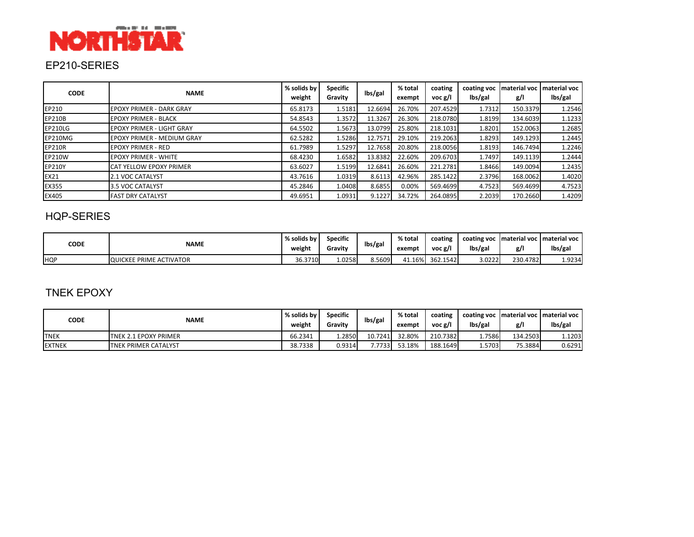

## EP210-SERIES

| <b>CODE</b>   | <b>NAME</b>                      | % solids by<br>weight | Specific<br>Gravity | lbs/gal | % total<br>exempt | coating<br>voc g/l | coating voc<br>lbs/gal | Imaterial voc<br>g/l | material voc<br>lbs/gal |
|---------------|----------------------------------|-----------------------|---------------------|---------|-------------------|--------------------|------------------------|----------------------|-------------------------|
| EP210         | EPOXY PRIMER - DARK GRAY         | 65.8173               | 1.5181              | 12.6694 | 26.70%            | 207.4529           | 1.7312                 | 150.3379             | 1.2546                  |
| <b>EP210B</b> | <b>EPOXY PRIMER - BLACK</b>      | 54.8543               | 1.3572              | 11.3267 | 26.30%            | 218.0780           | 1.8199                 | 134.6039             | 1.1233                  |
| EP210LG       | <b>EPOXY PRIMER - LIGHT GRAY</b> | 64.5502               | 1.5673              | 13.0799 | 25.80%            | 218.1031           | 1.8201                 | 152.0063             | 1.2685                  |
| EP210MG       | EPOXY PRIMER - MEDIUM GRAY       | 62.5282               | 1.5286              | 12.7571 | 29.10%            | 219.2063           | 1.8293                 | 149.1293             | 1.2445                  |
| <b>EP210R</b> | <b>EPOXY PRIMER - RED</b>        | 61.7989               | 1.5297              | 12.7658 | 20.80%            | 218.0056           | 1.8193                 | 146.7494             | 1.2246                  |
| EP210W        | <b>EPOXY PRIMER - WHITE</b>      | 68.4230               | 1.6582              | 13.8382 | 22.60%            | 209.6703           | 1.7497                 | 149.1139             | 1.2444                  |
| EP210Y        | <b>CAT YELLOW EPOXY PRIMER</b>   | 63.6027               | 1.5199              | 12.6841 | 26.60%            | 221.2781           | 1.8466                 | 149.0094             | 1.2435                  |
| <b>EX21</b>   | 2.1 VOC CATALYST                 | 43.7616               | 1.0319              | 8.6113  | 42.96%            | 285.1422           | 2.3796                 | 168.0062             | 1.4020                  |
| EX355         | 3.5 VOC CATALYST                 | 45.2846               | 1.0408              | 8.6855  | 0.00%             | 569.4699           | 4.7523                 | 569.4699             | 4.7523                  |
| EX405         | <b>FAST DRY CATALYST</b>         | 49.6951               | 1.0931              | 9.1227  | 34.72%            | 264.0895           | 2.2039                 | 170.2660             | 1.4209                  |

#### HQP-SERIES

| CODE       | <b>NAME</b>                    | % solids by<br>weight | Specific<br>Gravity | lbs/gal | % total<br>exempt | coating<br>voc g/l | coating voc<br>lbs/gal | Imaterial voc<br>g/l | : I material voc II<br>lbs/gal |
|------------|--------------------------------|-----------------------|---------------------|---------|-------------------|--------------------|------------------------|----------------------|--------------------------------|
| <b>HQP</b> | <b>QUICKEE PRIME ACTIVATOR</b> | 36.3710               | 1.0258              | 8.5609  | 41.16%            | 362.1542           | 3.0222                 | 230.4782             | 1.9234                         |

## TNEK EPOXY

| CODE          | <b>NAME</b>                 | % solids by<br>weight | <b>Specific</b><br>Gravity | lbs/gal | % total<br>exempt | coating<br>voc g/l | lbs/gal | g/l      | coating voc Imaterial voc Imaterial voc I<br>lbs/gal |
|---------------|-----------------------------|-----------------------|----------------------------|---------|-------------------|--------------------|---------|----------|------------------------------------------------------|
| <b>TNEK</b>   | TNEK 2.1 EPOXY PRIMER       | 66.2341               | 1.2850                     | 10.7241 | 32.80%            | 210.7382           | 1.7586  | 134.2503 | 1.1203                                               |
| <b>EXTNEK</b> | <b>TNEK PRIMER CATALYST</b> | 38.7338               | 0.9314                     | .7733   | 53.18%            | 188.1649           | 1.5703  | 75.3884  | 0.6291                                               |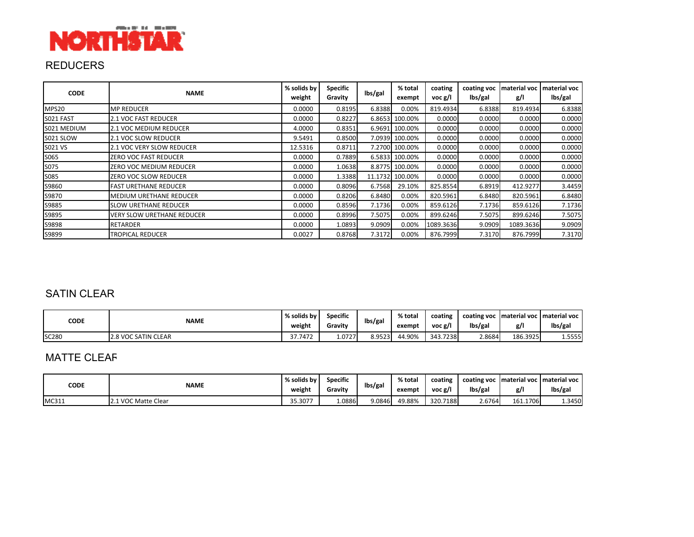

## REDUCERS

| <b>CODE</b> | <b>NAME</b>                    | % solids by<br>weight | <b>Specific</b><br>Gravity | lbs/gal | % total<br>exempt | coating<br>voc g/l | coating voc<br>lbs/gal | material voc<br>g/l | material voc<br>lbs/gal |
|-------------|--------------------------------|-----------------------|----------------------------|---------|-------------------|--------------------|------------------------|---------------------|-------------------------|
| MPS20       | <b>MP REDUCER</b>              | 0.0000                | 0.8195                     | 6.8388  | 0.00%             | 819.4934           | 6.8388                 | 819.4934            | 6.8388                  |
| S021 FAST   | <b>2.1 VOC FAST REDUCER</b>    | 0.0000                | 0.8227                     |         | 6.8653 100.00%    | 0.0000             | 0.0000                 | 0.0000              | 0.0000                  |
| S021 MEDIUM | 2.1 VOC MEDIUM REDUCER         | 4.0000                | 0.8351                     |         | 6.9691 100.00%    | 0.0000             | 0.0000                 | 0.0000              | 0.0000                  |
| S021 SLOW   | 2.1 VOC SLOW REDUCER           | 9.5491                | 0.8500                     |         | 7.0939 100.00%    | 0.0000             | 0.0000                 | 0.0000              | 0.0000                  |
| S021 VS     | 2.1 VOC VERY SLOW REDUCER      | 12.5316               | 0.8711                     |         | 7.2700 100.00%    | 0.0000             | 0.0000                 | 0.0000              | 0.0000                  |
| S065        | ZERO VOC FAST REDUCER          | 0.0000                | 0.7889                     |         | 6.5833 100.00%    | 0.0000             | 0.0000                 | 0.0000              | 0.0000                  |
| S075        | ZERO VOC MEDIUM REDUCER        | 0.0000                | 1.0638                     |         | 8.8775 100.00%    | 0.0000             | 0.0000                 | 0.0000              | 0.0000                  |
| S085        | ZERO VOC SLOW REDUCER          | 0.0000                | 1.3388                     |         | 11.1732 100.00%   | 0.0000             | 0.0000                 | 0.0000              | 0.0000                  |
| S9860       | <b>FAST URETHANE REDUCER</b>   | 0.0000                | 0.8096                     | 6.7568  | 29.10%            | 825.8554           | 6.8919                 | 412.9277            | 3.4459                  |
| S9870       | <b>MEDIUM URETHANE REDUCER</b> | 0.0000                | 0.8206                     | 6.8480  | 0.00%             | 820.5961           | 6.8480                 | 820.5961            | 6.8480                  |
| S9885       | <b>SLOW URETHANE REDUCER</b>   | 0.0000                | 0.8596                     | 7.1736  | 0.00%             | 859.6126           | 7.1736                 | 859.6126            | 7.1736                  |
| S9895       | VERY SLOW URETHANE REDUCER     | 0.0000                | 0.8996                     | 7.5075  | 0.00%             | 899.6246           | 7.5075                 | 899.6246            | 7.5075                  |
| S9898       | <b>RETARDER</b>                | 0.0000                | 1.0893                     | 9.0909  | 0.00%             | 1089.3636          | 9.0909                 | 1089.3636           | 9.0909                  |
| S9899       | TROPICAL REDUCER               | 0.0027                | 0.8768                     | 7.3172  | 0.00%             | 876.7999           | 7.3170                 | 876.7999            | 7.3170                  |

## SATIN CLEAR

| CODE         | <b>NAME</b>         | % solids by<br>weight | <b>Specific</b><br>Gravity | lbs/gal | % total<br>exempt | coating<br>voc g/l | coating voc<br>lbs/gal | g/l      | compaterial voc material voc<br>lbs/gal |
|--------------|---------------------|-----------------------|----------------------------|---------|-------------------|--------------------|------------------------|----------|-----------------------------------------|
| <b>SC280</b> | 2.8 VOC SATIN CLEAR | 37.7472               | 1.0727                     | 8.9523  | 44.90%            | 343.7238           | 2.8684                 | 186.3925 | 1.5555                                  |

#### MATTE CLEAR

| CODE  | <b>NAME</b>       | % solids by<br>weight | Specific<br>Gravity | lbs/gal | % total<br>exempt | coating<br>voc g/l | coating voc<br>lbs/gal | g/l           | material voc I material voc<br>lbs/gal |
|-------|-------------------|-----------------------|---------------------|---------|-------------------|--------------------|------------------------|---------------|----------------------------------------|
| MC311 | . VOC Matte Clear | 35.307                | 1.0886              | 9.0846  | 49.88%            | 320.7188           | 2.6764                 | 161.1<br>1706 | 1.3450                                 |